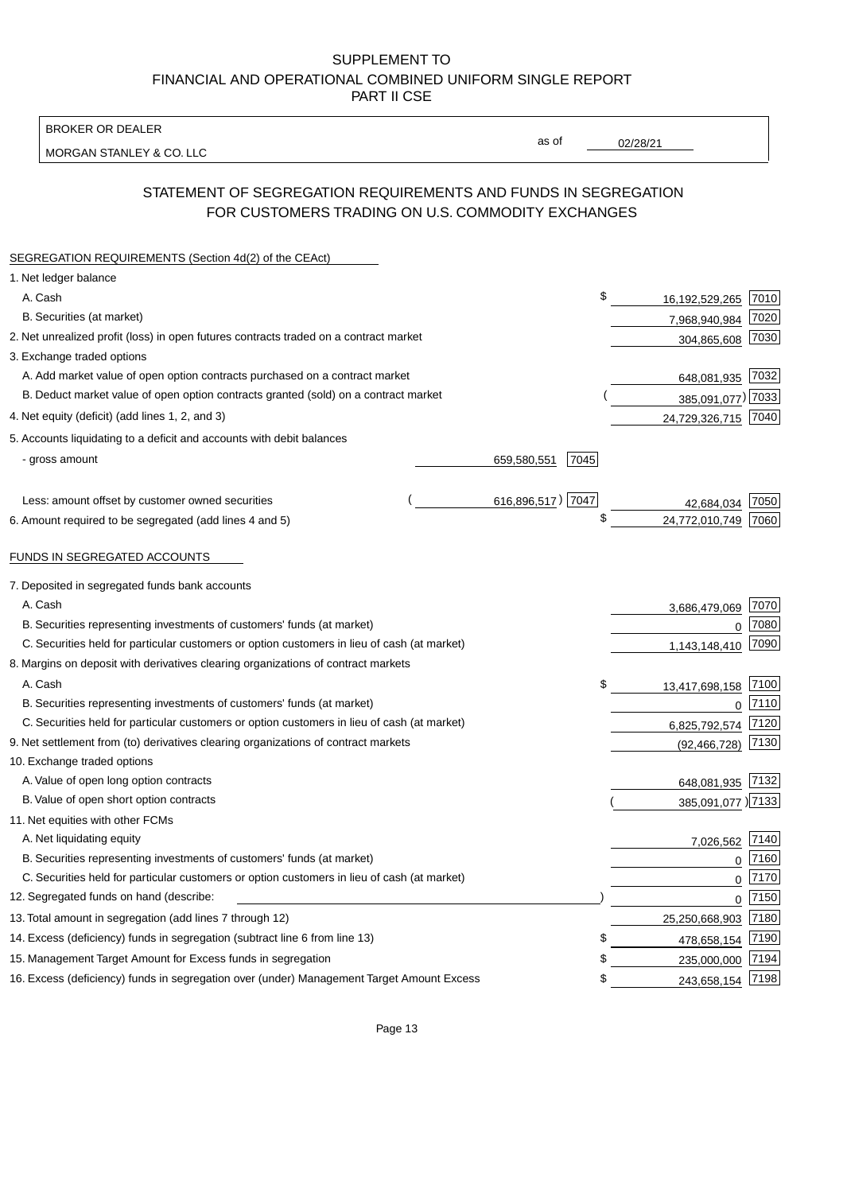BROKER OR DEALER

MORGAN STANLEY & CO. LLC

02/28/21

as of

# STATEMENT OF SEGREGATION REQUIREMENTS AND FUNDS IN SEGREGATION FOR CUSTOMERS TRADING ON U.S. COMMODITY EXCHANGES

| SEGREGATION REQUIREMENTS (Section 4d(2) of the CEAct)                                       |                   |      |                     |      |
|---------------------------------------------------------------------------------------------|-------------------|------|---------------------|------|
| 1. Net ledger balance                                                                       |                   |      |                     |      |
| A. Cash                                                                                     |                   | \$   | 16,192,529,265      | 7010 |
| B. Securities (at market)                                                                   |                   |      | 7,968,940,984       | 7020 |
| 2. Net unrealized profit (loss) in open futures contracts traded on a contract market       |                   |      | 304,865,608         | 7030 |
| 3. Exchange traded options                                                                  |                   |      |                     |      |
| A. Add market value of open option contracts purchased on a contract market                 |                   |      | 648,081,935 7032    |      |
| B. Deduct market value of open option contracts granted (sold) on a contract market         |                   |      | 385,091,077) 7033   |      |
| 4. Net equity (deficit) (add lines 1, 2, and 3)                                             |                   |      | 24,729,326,715 7040 |      |
| 5. Accounts liquidating to a deficit and accounts with debit balances                       |                   |      |                     |      |
| - gross amount                                                                              | 659,580,551       | 7045 |                     |      |
|                                                                                             |                   |      |                     |      |
| Less: amount offset by customer owned securities                                            | 616,896,517) 7047 |      | 42,684,034          | 7050 |
| 6. Amount required to be segregated (add lines 4 and 5)                                     |                   | \$   | 24,772,010,749      | 7060 |
|                                                                                             |                   |      |                     |      |
| FUNDS IN SEGREGATED ACCOUNTS                                                                |                   |      |                     |      |
| 7. Deposited in segregated funds bank accounts                                              |                   |      |                     |      |
| A. Cash                                                                                     |                   |      | 3,686,479,069       | 7070 |
| B. Securities representing investments of customers' funds (at market)                      |                   |      | $\Omega$            | 7080 |
| C. Securities held for particular customers or option customers in lieu of cash (at market) |                   |      | 1,143,148,410       | 7090 |
| 8. Margins on deposit with derivatives clearing organizations of contract markets           |                   |      |                     |      |
| A. Cash                                                                                     |                   | \$   | 13,417,698,158      | 7100 |
| B. Securities representing investments of customers' funds (at market)                      |                   |      | $\mathbf{0}$        | 7110 |
| C. Securities held for particular customers or option customers in lieu of cash (at market) |                   |      | 6,825,792,574       | 7120 |
| 9. Net settlement from (to) derivatives clearing organizations of contract markets          |                   |      | (92, 466, 728)      | 7130 |
| 10. Exchange traded options                                                                 |                   |      |                     |      |
| A. Value of open long option contracts                                                      |                   |      | 648,081,935         | 7132 |
| B. Value of open short option contracts                                                     |                   |      | 385,091,077 )7133   |      |
| 11. Net equities with other FCMs                                                            |                   |      |                     |      |
| A. Net liquidating equity                                                                   |                   |      | 7,026,562           | 7140 |
| B. Securities representing investments of customers' funds (at market)                      |                   |      | $\Omega$            | 7160 |
| C. Securities held for particular customers or option customers in lieu of cash (at market) |                   |      | $\mathbf 0$         | 7170 |
| 12. Segregated funds on hand (describe:                                                     |                   |      | $\mathbf 0$         | 7150 |
| 13. Total amount in segregation (add lines 7 through 12)                                    |                   |      | 25,250,668,903 7180 |      |
| 14. Excess (deficiency) funds in segregation (subtract line 6 from line 13)                 |                   | S    | 478,658,154         | 7190 |
| 15. Management Target Amount for Excess funds in segregation                                |                   | \$   | 235,000,000         | 7194 |
| 16. Excess (deficiency) funds in segregation over (under) Management Target Amount Excess   |                   | \$   | 243,658,154         | 7198 |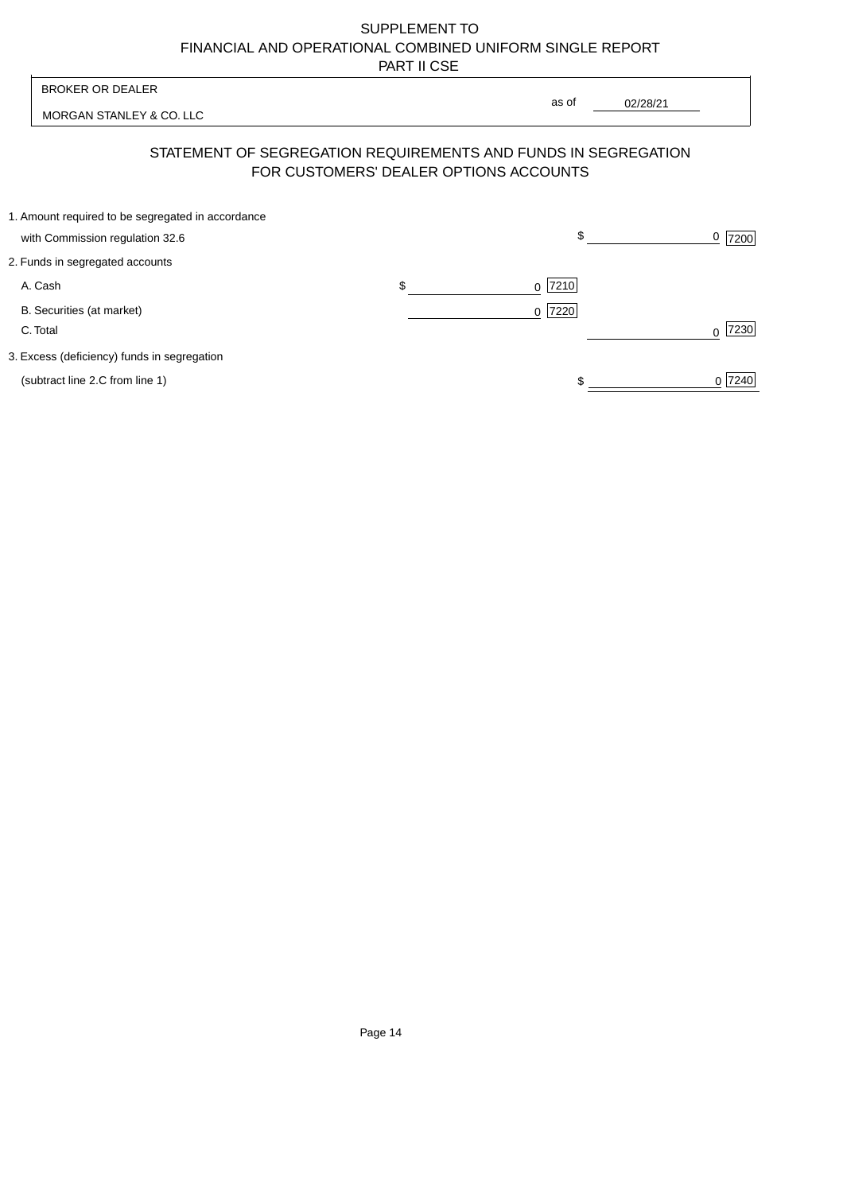| <b>BROKER OR DEALER</b>                                                                                  |                | as of |          |           |
|----------------------------------------------------------------------------------------------------------|----------------|-------|----------|-----------|
| MORGAN STANLEY & CO. LLC                                                                                 |                |       | 02/28/21 |           |
| STATEMENT OF SEGREGATION REQUIREMENTS AND FUNDS IN SEGREGATION<br>FOR CUSTOMERS' DEALER OPTIONS ACCOUNTS |                |       |          |           |
| 1. Amount required to be segregated in accordance<br>with Commission regulation 32.6                     |                | \$    |          | 7200      |
| 2. Funds in segregated accounts                                                                          |                |       |          |           |
| A. Cash                                                                                                  | \$<br>$\Omega$ | 7210  |          |           |
| B. Securities (at market)<br>C. Total                                                                    | $\Omega$       | 7220  |          | 7230<br>∩ |
| 3. Excess (deficiency) funds in segregation                                                              |                |       |          |           |
| (subtract line 2.C from line 1)                                                                          |                |       |          | 0 7240    |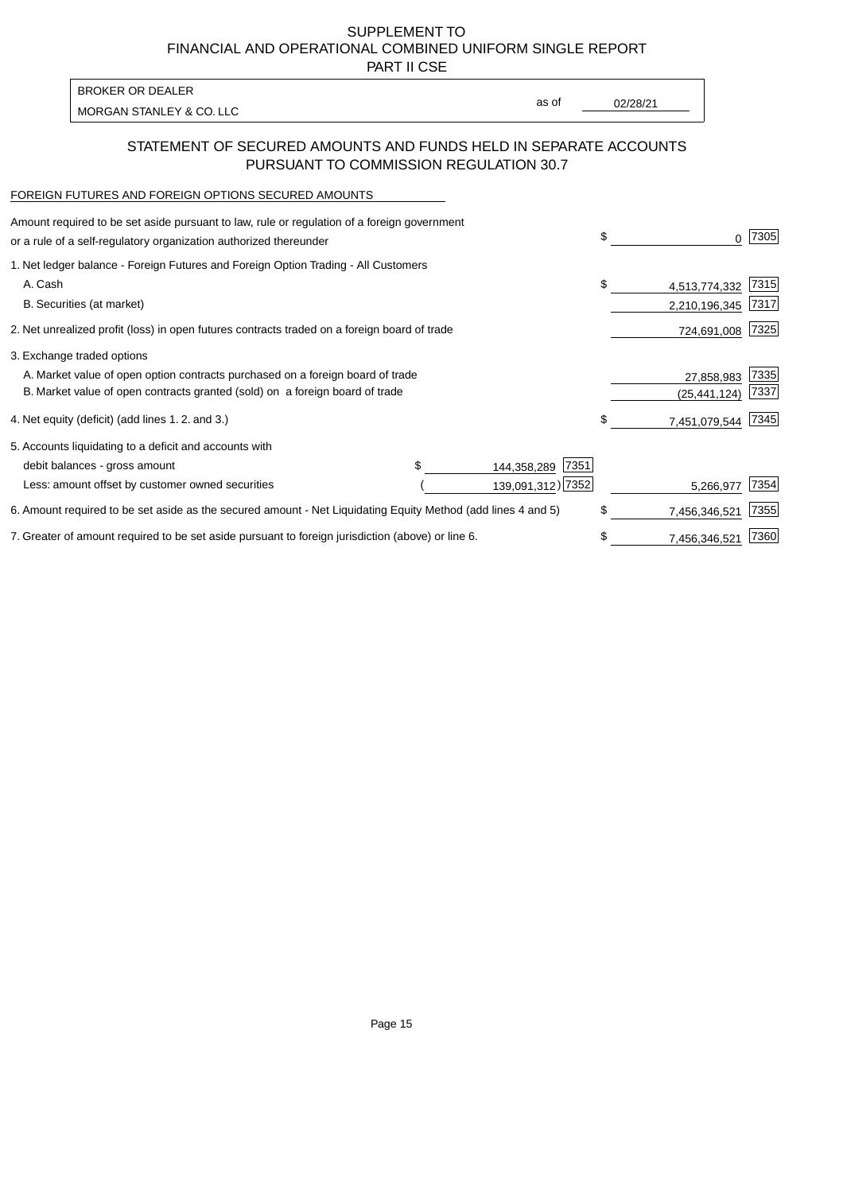PART II CSE

MORGAN STANLEY & CO. LLC and the contract of the contract of the contract of the contract of the contract of the contract of the contract of the contract of the contract of the contract of the contract of the contract of t BROKER OR DEALER

as of

## STATEMENT OF SECURED AMOUNTS AND FUNDS HELD IN SEPARATE ACCOUNTS PURSUANT TO COMMISSION REGULATION 30.7

# FOREIGN FUTURES AND FOREIGN OPTIONS SECURED AMOUNTS

| Amount required to be set aside pursuant to law, rule or regulation of a foreign government<br>or a rule of a self-regulatory organization authorized thereunder |  |                     | \$ | 0             | 7305 |
|------------------------------------------------------------------------------------------------------------------------------------------------------------------|--|---------------------|----|---------------|------|
| 1. Net ledger balance - Foreign Futures and Foreign Option Trading - All Customers                                                                               |  |                     |    |               |      |
| A. Cash                                                                                                                                                          |  |                     | \$ | 4,513,774,332 | 7315 |
| B. Securities (at market)                                                                                                                                        |  |                     |    | 2,210,196,345 | 7317 |
| 2. Net unrealized profit (loss) in open futures contracts traded on a foreign board of trade                                                                     |  |                     |    | 724,691,008   | 7325 |
| 3. Exchange traded options                                                                                                                                       |  |                     |    |               |      |
| A. Market value of open option contracts purchased on a foreign board of trade                                                                                   |  |                     |    | 27,858,983    | 7335 |
| B. Market value of open contracts granted (sold) on a foreign board of trade                                                                                     |  |                     |    | (25,441,124)  | 7337 |
| 4. Net equity (deficit) (add lines 1.2. and 3.)                                                                                                                  |  |                     | \$ | 7,451,079,544 | 7345 |
| 5. Accounts liquidating to a deficit and accounts with                                                                                                           |  |                     |    |               |      |
| debit balances - gross amount                                                                                                                                    |  | 7351<br>144,358,289 |    |               |      |
| Less: amount offset by customer owned securities                                                                                                                 |  | 139,091,312) 7352   |    | 5,266,977     | 7354 |
| 6. Amount required to be set aside as the secured amount - Net Liquidating Equity Method (add lines 4 and 5)                                                     |  |                     | \$ | 7,456,346,521 | 7355 |
| 7. Greater of amount required to be set aside pursuant to foreign jurisdiction (above) or line 6.                                                                |  |                     | S  | 7,456,346,521 | 7360 |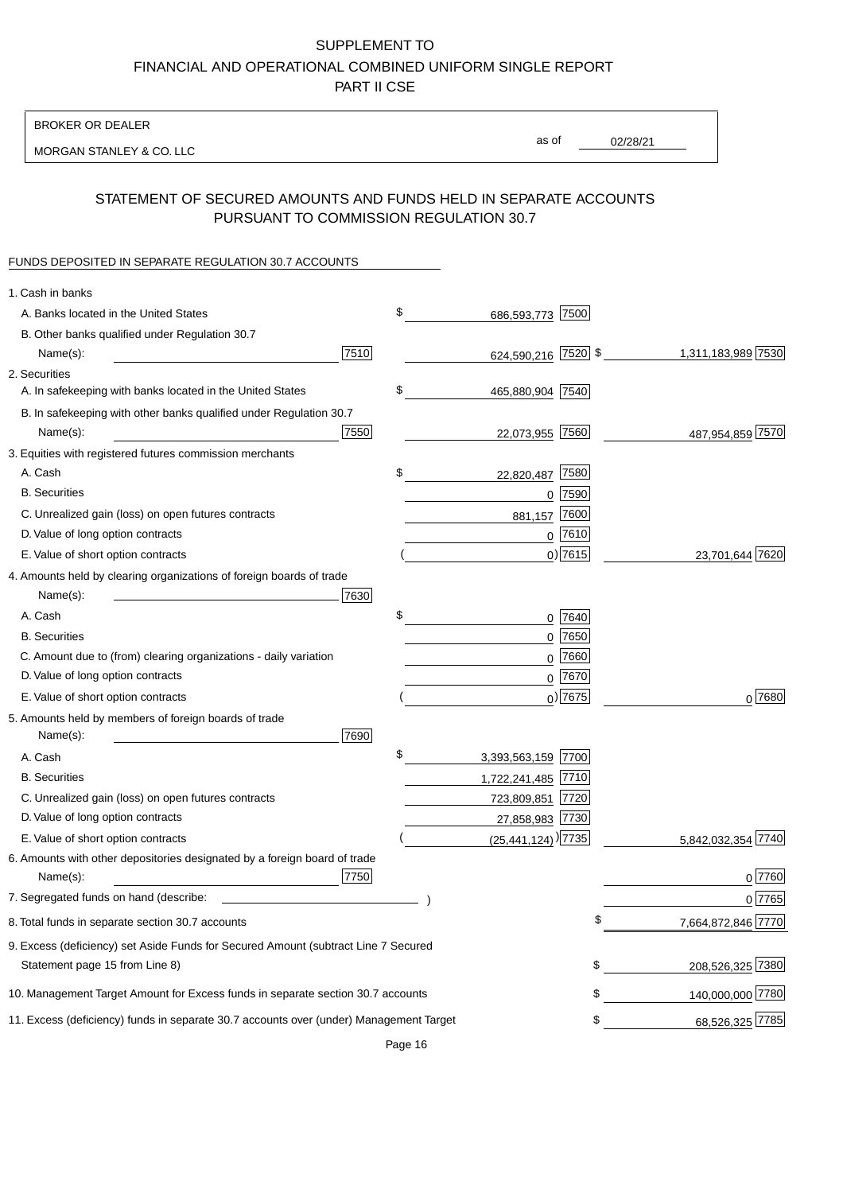BROKER OR DEALER

MORGAN STANLEY & CO. LLC

02/28/21 as of

#### STATEMENT OF SECURED AMOUNTS AND FUNDS HELD IN SEPARATE ACCOUNTS PURSUANT TO COMMISSION REGULATION 30.7

#### FUNDS DEPOSITED IN SEPARATE REGULATION 30.7 ACCOUNTS

| 1. Cash in banks                                                                                                     |      |                                    |             |                    |
|----------------------------------------------------------------------------------------------------------------------|------|------------------------------------|-------------|--------------------|
| A. Banks located in the United States                                                                                |      | \$<br>686,593,773 7500             |             |                    |
| B. Other banks qualified under Regulation 30.7                                                                       |      |                                    |             |                    |
| Name(s):                                                                                                             | 7510 | 624,590,216 7520 \$                |             | 1,311,183,989 7530 |
| 2. Securities                                                                                                        |      |                                    |             |                    |
| A. In safekeeping with banks located in the United States                                                            |      | \$<br>465,880,904 7540             |             |                    |
| B. In safekeeping with other banks qualified under Regulation 30.7                                                   |      |                                    |             |                    |
| Name(s):                                                                                                             | 7550 | 22,073,955 7560                    |             | 487,954,859 7570   |
| 3. Equities with registered futures commission merchants                                                             |      |                                    |             |                    |
| A. Cash                                                                                                              |      | \$<br>22,820,487                   | 7580        |                    |
| <b>B.</b> Securities                                                                                                 |      |                                    | $0$ 7590    |                    |
| C. Unrealized gain (loss) on open futures contracts                                                                  |      | 881,157                            | 7600        |                    |
| D. Value of long option contracts                                                                                    |      |                                    | $0$ 7610    |                    |
| E. Value of short option contracts                                                                                   |      |                                    | $0)$ 7615   | 23,701,644 7620    |
| 4. Amounts held by clearing organizations of foreign boards of trade                                                 |      |                                    |             |                    |
| Name(s):                                                                                                             | 7630 |                                    |             |                    |
| A. Cash                                                                                                              |      | \$                                 | $0$ 7640    |                    |
| <b>B.</b> Securities                                                                                                 |      |                                    | $0$ 7650    |                    |
| C. Amount due to (from) clearing organizations - daily variation                                                     |      | 0                                  | 7660        |                    |
| D. Value of long option contracts                                                                                    |      |                                    | 0 7670      |                    |
| E. Value of short option contracts                                                                                   |      |                                    | $_0$ ) 7675 | 0 7680             |
| 5. Amounts held by members of foreign boards of trade<br>Name(s):                                                    | 7690 |                                    |             |                    |
| A. Cash                                                                                                              |      | \$<br>3,393,563,159 7700           |             |                    |
| <b>B.</b> Securities                                                                                                 |      | 1,722,241,485 7710                 |             |                    |
| C. Unrealized gain (loss) on open futures contracts                                                                  |      | 723,809,851 7720                   |             |                    |
| D. Value of long option contracts                                                                                    |      | 27,858,983 7730                    |             |                    |
| E. Value of short option contracts                                                                                   |      | $(25,441,124)$ <sup>)</sup> $7735$ |             | 5,842,032,354 7740 |
| 6. Amounts with other depositories designated by a foreign board of trade<br>Name(s):                                | 7750 |                                    |             | 0 7760             |
| 7. Segregated funds on hand (describe:                                                                               |      |                                    |             | 0 7765             |
| 8. Total funds in separate section 30.7 accounts                                                                     |      |                                    | \$          | 7,664,872,846 7770 |
| 9. Excess (deficiency) set Aside Funds for Secured Amount (subtract Line 7 Secured<br>Statement page 15 from Line 8) |      |                                    | \$          | 208,526,325 7380   |
|                                                                                                                      |      |                                    |             |                    |
| 10. Management Target Amount for Excess funds in separate section 30.7 accounts                                      |      |                                    | \$          | 140,000,000 7780   |
| 11. Excess (deficiency) funds in separate 30.7 accounts over (under) Management Target                               |      |                                    | \$          | 68,526,325 7785    |